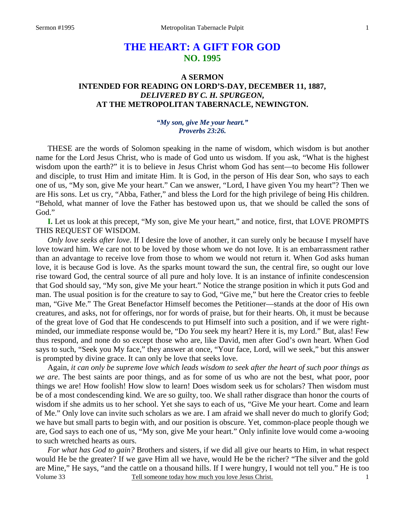# **THE HEART: A GIFT FOR GOD NO. 1995**

# **A SERMON INTENDED FOR READING ON LORD'S-DAY, DECEMBER 11, 1887,**  *DELIVERED BY C. H. SPURGEON,*  **AT THE METROPOLITAN TABERNACLE, NEWINGTON.**

### *"My son, give Me your heart." Proverbs 23:26.*

THESE are the words of Solomon speaking in the name of wisdom, which wisdom is but another name for the Lord Jesus Christ, who is made of God unto us wisdom. If you ask, "What is the highest wisdom upon the earth?" it is to believe in Jesus Christ whom God has sent—to become His follower and disciple, to trust Him and imitate Him. It is God, in the person of His dear Son, who says to each one of us, "My son, give Me your heart." Can we answer, "Lord, I have given You my heart"? Then we are His sons. Let us cry, "Abba, Father," and bless the Lord for the high privilege of being His children. "Behold, what manner of love the Father has bestowed upon us, that we should be called the sons of God."

**I.** Let us look at this precept, "My son, give Me your heart," and notice, first, that LOVE PROMPTS THIS REQUEST OF WISDOM.

*Only love seeks after love*. If I desire the love of another, it can surely only be because I myself have love toward him. We care not to be loved by those whom we do not love. It is an embarrassment rather than an advantage to receive love from those to whom we would not return it. When God asks human love, it is because God is love. As the sparks mount toward the sun, the central fire, so ought our love rise toward God, the central source of all pure and holy love. It is an instance of infinite condescension that God should say, "My son, give Me your heart." Notice the strange position in which it puts God and man. The usual position is for the creature to say to God, "Give me," but here the Creator cries to feeble man, "Give Me." The Great Benefactor Himself becomes the Petitioner—stands at the door of His own creatures, and asks, not for offerings, nor for words of praise, but for their hearts. Oh, it must be because of the great love of God that He condescends to put Himself into such a position, and if we were rightminded, our immediate response would be, "Do *You* seek my heart? Here it is, my Lord." But, alas! Few thus respond, and none do so except those who are, like David, men after God's own heart. When God says to such, "Seek you My face," they answer at once, "Your face, Lord, will we seek," but this answer is prompted by divine grace. It can only be love that seeks love.

Again, *it can only be supreme love which leads wisdom to seek after the heart of such poor things as we are*. The best saints are poor things, and as for some of us who are not the best, what poor, poor things we are! How foolish! How slow to learn! Does wisdom seek us for scholars? Then wisdom must be of a most condescending kind. We are so guilty, too. We shall rather disgrace than honor the courts of wisdom if she admits us to her school. Yet she says to each of us, "Give Me your heart. Come and learn of Me." Only love can invite such scholars as we are. I am afraid we shall never do much to glorify God; we have but small parts to begin with, and our position is obscure. Yet, common-place people though we are, God says to each one of us, "My son, give Me your heart." Only infinite love would come a-wooing to such wretched hearts as ours.

Volume 33 Tell someone today how much you love Jesus Christ. *For what has God to gain?* Brothers and sisters, if we did all give our hearts to Him, in what respect would He be the greater? If we gave Him all we have, would He be the richer? "The silver and the gold are Mine," He says, "and the cattle on a thousand hills. If I were hungry, I would not tell you." He is too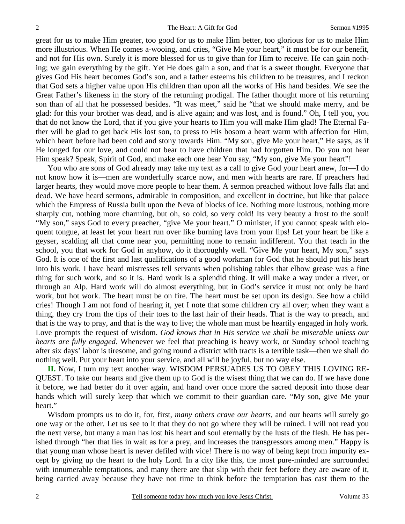great for us to make Him greater, too good for us to make Him better, too glorious for us to make Him more illustrious. When He comes a-wooing, and cries, "Give Me your heart," it must be for our benefit, and not for His own. Surely it is more blessed for us to give than for Him to receive. He can gain nothing; we gain everything by the gift. Yet He does gain a son, and that is a sweet thought. Everyone that gives God His heart becomes God's son, and a father esteems his children to be treasures, and I reckon that God sets a higher value upon His children than upon all the works of His hand besides. We see the Great Father's likeness in the story of the returning prodigal. The father thought more of his returning son than of all that he possessed besides. "It was meet," said he "that we should make merry, and be glad: for this your brother was dead, and is alive again; and was lost, and is found." Oh, I tell you, you that do not know the Lord, that if you give your hearts to Him you will make Him glad! The Eternal Father will be glad to get back His lost son, to press to His bosom a heart warm with affection for Him, which heart before had been cold and stony towards Him. "My son, give Me your heart," He says, as if He longed for our love, and could not bear to have children that had forgotten Him. Do you not hear Him speak? Speak, Spirit of God, and make each one hear You say, "My son, give Me your heart"!

You who are sons of God already may take my text as a call to give God your heart anew, for—I do not know how it is—men are wonderfully scarce now, and men with hearts are rare. If preachers had larger hearts, they would move more people to hear them. A sermon preached without love falls flat and dead. We have heard sermons, admirable in composition, and excellent in doctrine, but like that palace which the Empress of Russia built upon the Neva of blocks of ice. Nothing more lustrous, nothing more sharply cut, nothing more charming, but oh, so cold, so very cold! Its very beauty a frost to the soul! "My son," says God to every preacher, "give Me your heart." O minister, if you cannot speak with eloquent tongue, at least let your heart run over like burning lava from your lips! Let your heart be like a geyser, scalding all that come near you, permitting none to remain indifferent. You that teach in the school, you that work for God in anyhow, do it thoroughly well. "Give Me your heart, My son," says God. It is one of the first and last qualifications of a good workman for God that he should put his heart into his work. I have heard mistresses tell servants when polishing tables that elbow grease was a fine thing for such work, and so it is. Hard work is a splendid thing. It will make a way under a river, or through an Alp. Hard work will do almost everything, but in God's service it must not only be hard work, but hot work. The heart must be on fire. The heart must be set upon its design. See how a child cries! Though I am not fond of hearing it, yet I note that some children cry all over; when they want a thing, they cry from the tips of their toes to the last hair of their heads. That is the way to preach, and that is the way to pray, and that is the way to live; the whole man must be heartily engaged in holy work. Love prompts the request of wisdom. *God knows that in His service we shall be miserable unless our hearts are fully engaged*. Whenever we feel that preaching is heavy work, or Sunday school teaching after six days' labor is tiresome, and going round a district with tracts is a terrible task—then we shall do nothing well. Put your heart into your service, and all will be joyful, but no way else.

**II.** Now, I turn my text another way. WISDOM PERSUADES US TO OBEY THIS LOVING RE-QUEST. To take our hearts and give them up to God is the wisest thing that we can do. If we have done it before, we had better do it over again, and hand over once more the sacred deposit into those dear hands which will surely keep that which we commit to their guardian care. "My son, give Me your heart."

Wisdom prompts us to do it, for, first, *many others crave our hearts,* and our hearts will surely go one way or the other. Let us see to it that they do not go where they will be ruined. I will not read you the next verse, but many a man has lost his heart and soul eternally by the lusts of the flesh. He has perished through "her that lies in wait as for a prey, and increases the transgressors among men." Happy is that young man whose heart is never defiled with vice! There is no way of being kept from impurity except by giving up the heart to the holy Lord. In a city like this, the most pure-minded are surrounded with innumerable temptations, and many there are that slip with their feet before they are aware of it, being carried away because they have not time to think before the temptation has cast them to the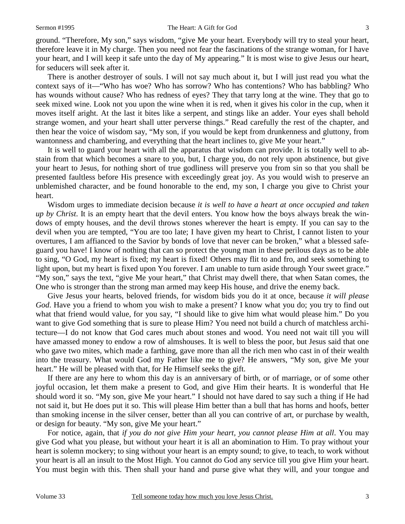ground. "Therefore, My son," says wisdom, "give Me your heart. Everybody will try to steal your heart, therefore leave it in My charge. Then you need not fear the fascinations of the strange woman, for I have your heart, and I will keep it safe unto the day of My appearing." It is most wise to give Jesus our heart, for seducers will seek after it.

There is another destroyer of souls. I will not say much about it, but I will just read you what the context says of it—"Who has woe? Who has sorrow? Who has contentions? Who has babbling? Who has wounds without cause? Who has redness of eyes? They that tarry long at the wine. They that go to seek mixed wine. Look not you upon the wine when it is red, when it gives his color in the cup, when it moves itself aright. At the last it bites like a serpent, and stings like an adder. Your eyes shall behold strange women, and your heart shall utter perverse things." Read carefully the rest of the chapter, and then hear the voice of wisdom say, "My son, if you would be kept from drunkenness and gluttony, from wantonness and chambering, and everything that the heart inclines to, give Me your heart."

It is well to guard your heart with all the apparatus that wisdom can provide. It is totally well to abstain from that which becomes a snare to you, but, I charge you, do not rely upon abstinence, but give your heart to Jesus, for nothing short of true godliness will preserve you from sin so that you shall be presented faultless before His presence with exceedingly great joy. As you would wish to preserve an unblemished character, and be found honorable to the end, my son, I charge you give to Christ your heart.

Wisdom urges to immediate decision because *it is well to have a heart at once occupied and taken up by Christ*. It is an empty heart that the devil enters. You know how the boys always break the windows of empty houses, and the devil throws stones wherever the heart is empty. If you can say to the devil when you are tempted, "You are too late; I have given my heart to Christ, I cannot listen to your overtures, I am affianced to the Savior by bonds of love that never can be broken," what a blessed safeguard you have! I know of nothing that can so protect the young man in these perilous days as to be able to sing, "O God, my heart is fixed; my heart is fixed! Others may flit to and fro, and seek something to light upon, but my heart is fixed upon You forever. I am unable to turn aside through Your sweet grace." "My son," says the text, "give Me your heart," that Christ may dwell there, that when Satan comes, the One who is stronger than the strong man armed may keep His house, and drive the enemy back.

Give Jesus your hearts, beloved friends, for wisdom bids you do it at once, because *it will please God*. Have you a friend to whom you wish to make a present? I know what you do; you try to find out what that friend would value, for you say, "I should like to give him what would please him." Do you want to give God something that is sure to please Him? You need not build a church of matchless architecture—I do not know that God cares much about stones and wood. You need not wait till you will have amassed money to endow a row of almshouses. It is well to bless the poor, but Jesus said that one who gave two mites, which made a farthing, gave more than all the rich men who cast in of their wealth into the treasury. What would God my Father like me to give? He answers, "My son, give Me your heart." He will be pleased with that, for He Himself seeks the gift.

If there are any here to whom this day is an anniversary of birth, or of marriage, or of some other joyful occasion, let them make a present to God, and give Him their hearts. It is wonderful that He should word it so. "My son, give Me your heart." I should not have dared to say such a thing if He had not said it, but He does put it so. This will please Him better than a bull that has horns and hoofs, better than smoking incense in the silver censer, better than all you can contrive of art, or purchase by wealth, or design for beauty. "My son, give Me your heart."

For notice, again, that *if you do not give Him your heart, you cannot please Him at all*. You may give God what you please, but without your heart it is all an abomination to Him. To pray without your heart is solemn mockery; to sing without your heart is an empty sound; to give, to teach, to work without your heart is all an insult to the Most High. You cannot do God any service till you give Him your heart. You must begin with this. Then shall your hand and purse give what they will, and your tongue and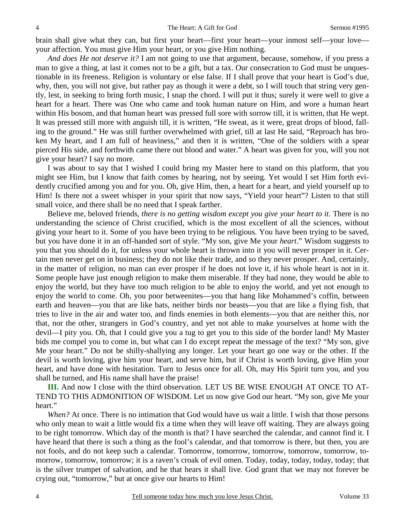brain shall give what they can, but first your heart—first your heart—your inmost self—your love your affection. You must give Him your heart, or you give Him nothing.

*And does He not deserve it?* I am not going to use that argument, because, somehow, if you press a man to give a thing, at last it comes not to be a gift, but a tax. Our consecration to God must be unquestionable in its freeness. Religion is voluntary or else false. If I shall prove that your heart is God's due, why, then, you will not give, but rather pay as though it were a debt, so I will touch that string very gently, lest, in seeking to bring forth music, I snap the chord. I will put it thus; surely it were well to give a heart for a heart. There was One who came and took human nature on Him, and wore a human heart within His bosom, and that human heart was pressed full sore with sorrow till, it is written, that He wept. It was pressed still more with anguish till, it is written, "He sweat, as it were, great drops of blood, falling to the ground." He was still further overwhelmed with grief, till at last He said, "Reproach has broken My heart, and I am full of heaviness," and then it is written, "One of the soldiers with a spear pierced His side, and forthwith came there out blood and water." A heart was given for you, will you not give your heart? I say no more.

I was about to say that I wished I could bring my Master here to stand on this platform, that you might see Him, but I know that faith comes by hearing, not by seeing. Yet would I set Him forth evidently crucified among you and for you. Oh, give Him, then, a heart for a heart, and yield yourself up to Him! Is there not a sweet whisper in your spirit that now says, "Yield your heart"? Listen to that still small voice, and there shall be no need that I speak farther.

Believe me, beloved friends, *there is no getting wisdom except you give your heart to it*. There is no understanding the science of Christ crucified, which is the most excellent of all the sciences, without giving your heart to it. Some of you have been trying to be religious. You have been trying to be saved, but you have done it in an off-handed sort of style. "My son, give Me your *heart*." Wisdom suggests to you that you should do it, for unless your whole heart is thrown into it you will never prosper in it. Certain men never get on in business; they do not like their trade, and so they never prosper. And, certainly, in the matter of religion, no man can ever prosper if he does not love it, if his whole heart is not in it. Some people have just enough religion to make them miserable. If they had none, they would be able to enjoy the world, but they have too much religion to be able to enjoy the world, and yet not enough to enjoy the world to come. Oh, you poor betweenites—you that hang like Mohammed's coffin, between earth and heaven—you that are like bats, neither birds nor beasts—you that are like a flying fish, that tries to live in the air and water too, and finds enemies in both elements—you that are neither this, nor that, nor the other, strangers in God's country, and yet not able to make yourselves at home with the devil—I pity you. Oh, that I could give you a tug to get you to this side of the border land! My Master bids me compel you to come in, but what can I do except repeat the message of the text? "My son, give Me your heart." Do not be shilly-shallying any longer. Let your heart go one way or the other. If the devil is worth loving, give him your heart, and serve him, but if Christ is worth loving, give Him your heart, and have done with hesitation. Turn to Jesus once for all. Oh, may His Spirit turn you, and you shall be turned, and His name shall have the praise!

**III.** And now I close with the third observation. LET US BE WISE ENOUGH AT ONCE TO AT-TEND TO THIS ADMONITION OF WISDOM. Let us now give God our heart. "My son, give Me your heart."

*When?* At once. There is no intimation that God would have us wait a little. I wish that those persons who only mean to wait a little would fix a time when they will leave off waiting. They are always going to be right tomorrow. Which day of the month is that? I have searched the calendar, and cannot find it. I have heard that there is such a thing as the fool's calendar, and that tomorrow is there, but then, you are not fools, and do not keep such a calendar. Tomorrow, tomorrow, tomorrow, tomorrow, tomorrow, tomorrow, tomorrow, tomorrow; it is a raven's croak of evil omen. Today, today, today, today, today; that is the silver trumpet of salvation, and he that hears it shall live. God grant that we may not forever be crying out, "tomorrow," but at once give our hearts to Him!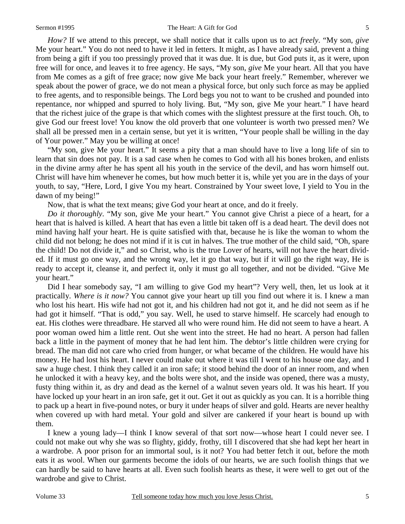#### Sermon #1995 The Heart: A Gift for God 5

*How?* If we attend to this precept, we shall notice that it calls upon us to act *freely*. "My son, *give*  Me your heart." You do not need to have it led in fetters. It might, as I have already said, prevent a thing from being a gift if you too pressingly proved that it was due. It is due, but God puts it, as it were, upon free will for once, and leaves it to free agency. He says, "My son, *give* Me your heart. All that you have from Me comes as a gift of free grace; now give Me back your heart freely." Remember, wherever we speak about the power of grace, we do not mean a physical force, but only such force as may be applied to free agents, and to responsible beings. The Lord begs you not to want to be crushed and pounded into repentance, nor whipped and spurred to holy living. But, "My son, give Me your heart." I have heard that the richest juice of the grape is that which comes with the slightest pressure at the first touch. Oh, to give God our freest love! You know the old proverb that one volunteer is worth two pressed men? We shall all be pressed men in a certain sense, but yet it is written, "Your people shall be willing in the day of Your power." May you be willing at once!

"My son, give Me your heart." It seems a pity that a man should have to live a long life of sin to learn that sin does not pay. It is a sad case when he comes to God with all his bones broken, and enlists in the divine army after he has spent all his youth in the service of the devil, and has worn himself out. Christ will have him whenever he comes, but how much better it is, while yet you are in the days of your youth, to say, "Here, Lord, I give You my heart. Constrained by Your sweet love, I yield to You in the dawn of my being!"

Now, that is what the text means; give God your heart at once, and do it freely.

*Do it thoroughly*. "My son, give Me your heart." You cannot give Christ a piece of a heart, for a heart that is halved is killed. A heart that has even a little bit taken off is a dead heart. The devil does not mind having half your heart. He is quite satisfied with that, because he is like the woman to whom the child did not belong; he does not mind if it is cut in halves. The true mother of the child said, "Oh, spare the child! Do not divide it," and so Christ, who is the true Lover of hearts, will not have the heart divided. If it must go one way, and the wrong way, let it go that way, but if it will go the right way, He is ready to accept it, cleanse it, and perfect it, only it must go all together, and not be divided. "Give Me your heart."

Did I hear somebody say, "I am willing to give God my heart"? Very well, then, let us look at it practically. *Where is it now?* You cannot give your heart up till you find out where it is. I knew a man who lost his heart. His wife had not got it, and his children had not got it, and he did not seem as if he had got it himself. "That is odd," you say. Well, he used to starve himself. He scarcely had enough to eat. His clothes were threadbare. He starved all who were round him. He did not seem to have a heart. A poor woman owed him a little rent. Out she went into the street. He had no heart. A person had fallen back a little in the payment of money that he had lent him. The debtor's little children were crying for bread. The man did not care who cried from hunger, or what became of the children. He would have his money. He had lost his heart. I never could make out where it was till I went to his house one day, and I saw a huge chest. I think they called it an iron safe; it stood behind the door of an inner room, and when he unlocked it with a heavy key, and the bolts were shot, and the inside was opened, there was a musty, fusty thing within it, as dry and dead as the kernel of a walnut seven years old. It was his heart. If you have locked up your heart in an iron safe, get it out. Get it out as quickly as you can. It is a horrible thing to pack up a heart in five-pound notes, or bury it under heaps of silver and gold. Hearts are never healthy when covered up with hard metal. Your gold and silver are cankered if your heart is bound up with them.

I knew a young lady—I think I know several of that sort now—whose heart I could never see. I could not make out why she was so flighty, giddy, frothy, till I discovered that she had kept her heart in a wardrobe. A poor prison for an immortal soul, is it not? You had better fetch it out, before the moth eats it as wool. When our garments become the idols of our hearts, we are such foolish things that we can hardly be said to have hearts at all. Even such foolish hearts as these, it were well to get out of the wardrobe and give to Christ.